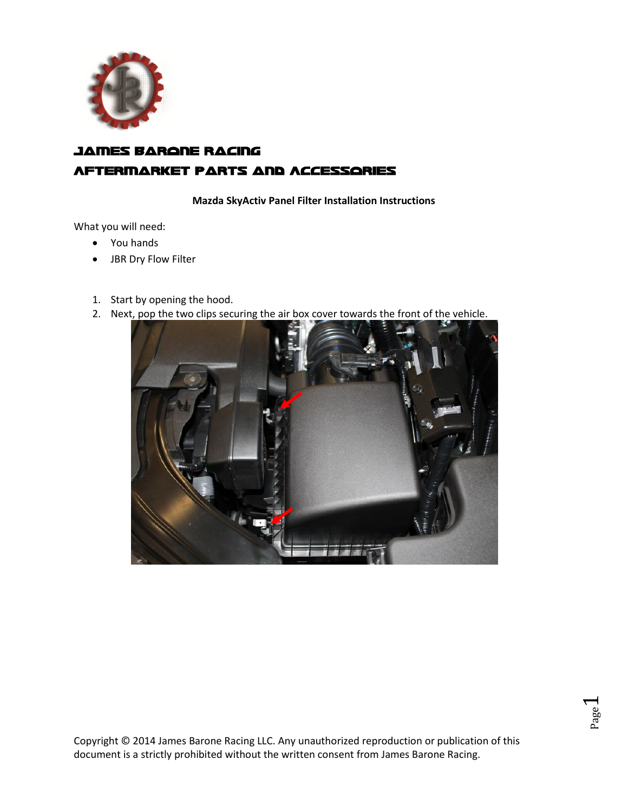

# james Barone Racing Aftermarket Parts and Accessories

**Mazda SkyActiv Panel Filter Installation Instructions**

What you will need:

- You hands
- JBR Dry Flow Filter
- 1. Start by opening the hood.
- 2. Next, pop the two clips securing the air box cover towards the front of the vehicle.

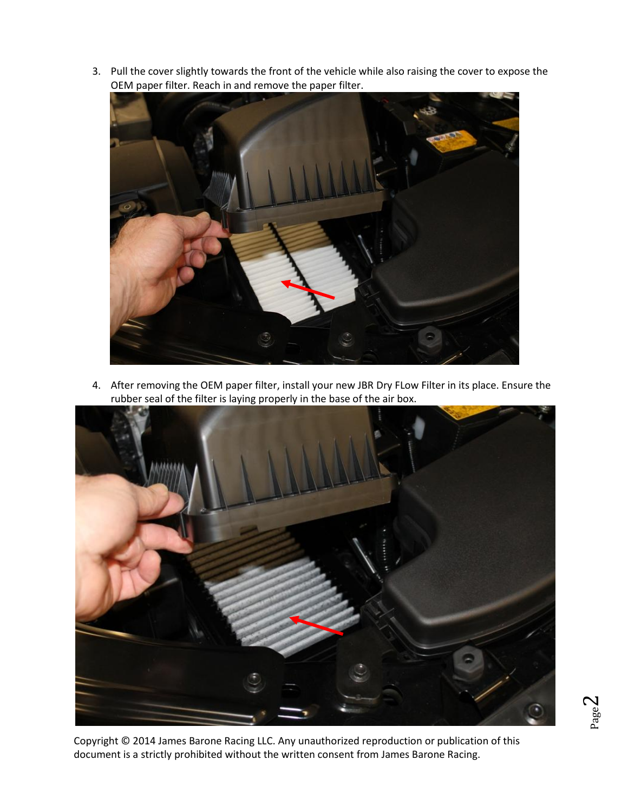3. Pull the cover slightly towards the front of the vehicle while also raising the cover to expose the OEM paper filter. Reach in and remove the paper filter.



4. After removing the OEM paper filter, install your new JBR Dry FLow Filter in its place. Ensure the rubber seal of the filter is laying properly in the base of the air box.



Copyright © 2014 James Barone Racing LLC. Any unauthorized reproduction or publication of this document is a strictly prohibited without the written consent from James Barone Racing.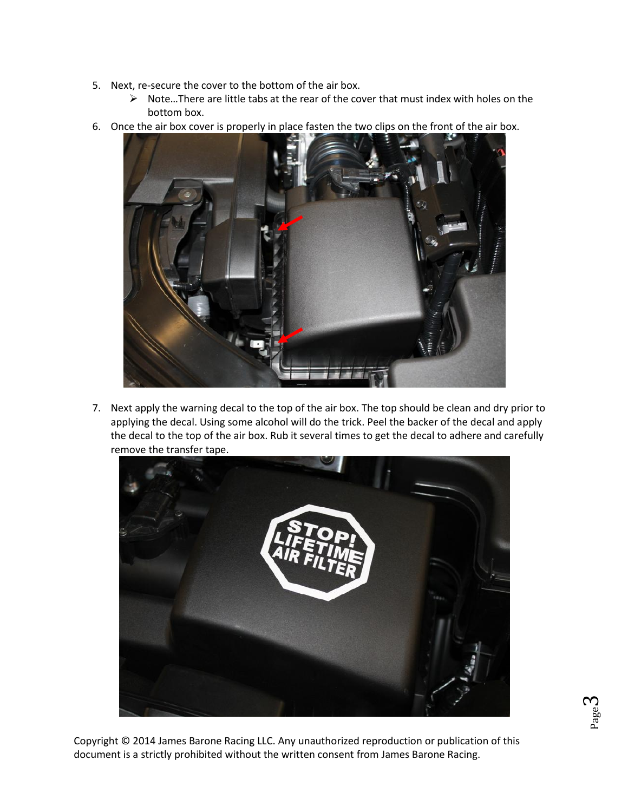- 5. Next, re-secure the cover to the bottom of the air box.
	- $\triangleright$  Note... There are little tabs at the rear of the cover that must index with holes on the bottom box.
	-
- 6. Once the air box cover is properly in place fasten the two clips on the front of the air box.

7. Next apply the warning decal to the top of the air box. The top should be clean and dry prior to applying the decal. Using some alcohol will do the trick. Peel the backer of the decal and apply the decal to the top of the air box. Rub it several times to get the decal to adhere and carefully remove the transfer tape.



Page ო

Copyright © 2014 James Barone Racing LLC. Any unauthorized reproduction or publication of this document is a strictly prohibited without the written consent from James Barone Racing.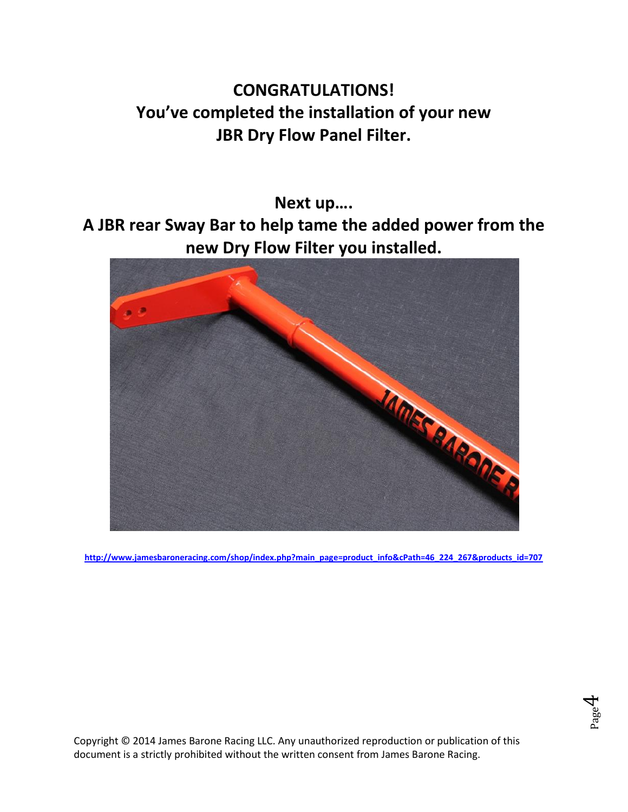# **CONGRATULATIONS! You've completed the installation of your new JBR Dry Flow Panel Filter.**

**Next up….**

**A JBR rear Sway Bar to help tame the added power from the new Dry Flow Filter you installed.**



**[http://www.jamesbaroneracing.com/shop/index.php?main\\_page=product\\_info&cPath=46\\_224\\_267&products\\_id=707](http://www.jamesbaroneracing.com/shop/index.php?main_page=product_info&cPath=46_224_267&products_id=707)**



Copyright © 2014 James Barone Racing LLC. Any unauthorized reproduction or publication of this document is a strictly prohibited without the written consent from James Barone Racing.